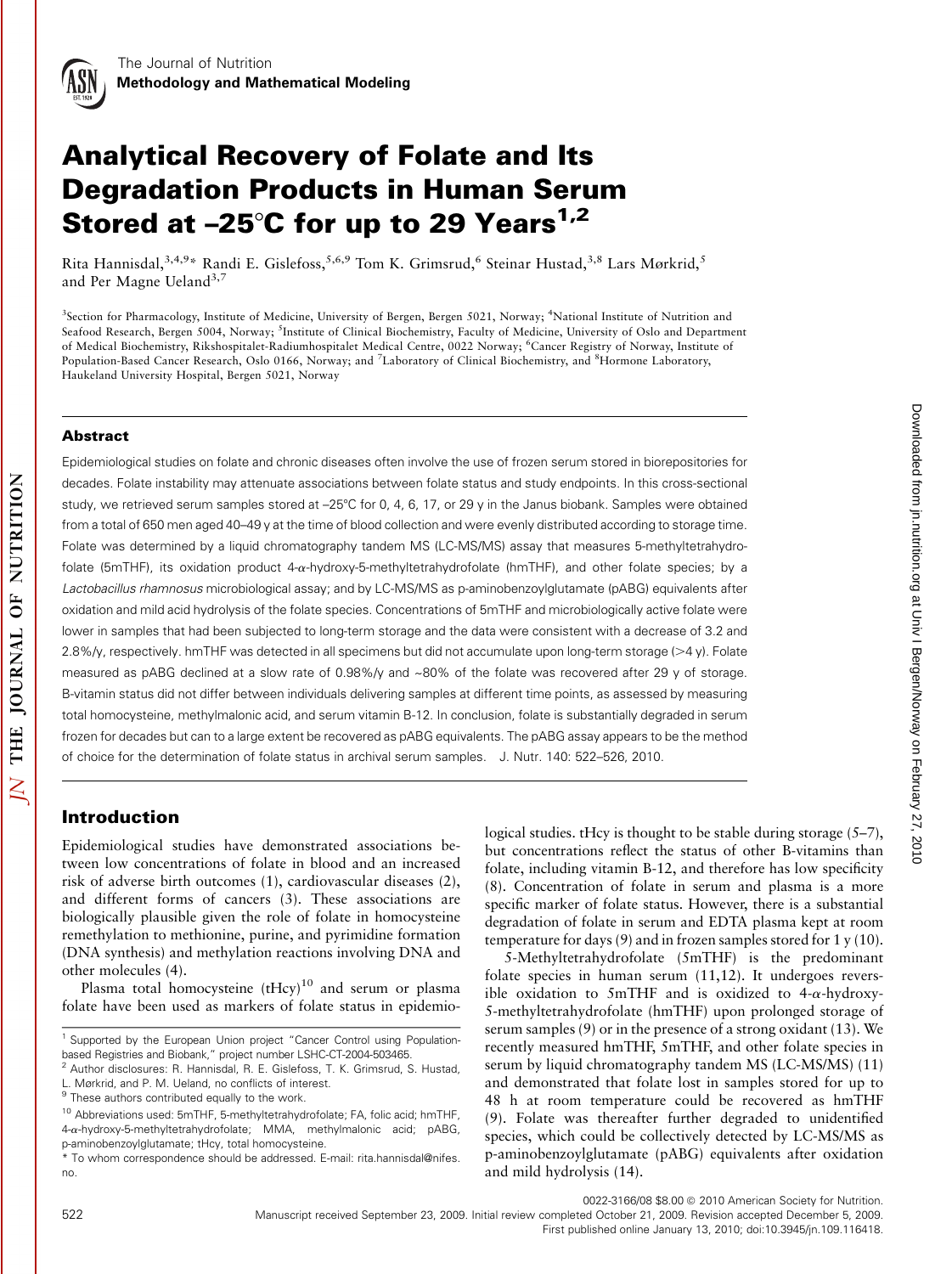# Analytical Recovery of Folate and Its Degradation Products in Human Serum Stored at  $-25^{\circ}$ C for up to 29 Years<sup>1,2</sup>

Rita Hannisdal,<sup>3,4,9</sup>\* Randi E. Gislefoss,<sup>5,6,9</sup> Tom K. Grimsrud,<sup>6</sup> Steinar Hustad,<sup>3,8</sup> Lars Mørkrid,<sup>5</sup> and Per Magne Ueland<sup>3,7</sup>

<sup>3</sup>Section for Pharmacology, Institute of Medicine, University of Bergen, Bergen 5021, Norway; <sup>4</sup>National Institute of Nutrition and Seafood Research, Bergen 5004, Norway; <sup>5</sup>Institute of Clinical Biochemistry, Faculty of Medicine, University of Oslo and Department of Medical Biochemistry, Rikshospitalet-Radiumhospitalet Medical Centre, 0022 Norway; <sup>6</sup>Cancer Registry of Norway, Institute of Population-Based Cancer Research, Oslo 0166, Norway; and <sup>7</sup>Laboratory of Clinical Biochemistry, and <sup>8</sup>Hormone Laboratory, Haukeland University Hospital, Bergen 5021, Norway

#### Abstract

Epidemiological studies on folate and chronic diseases often involve the use of frozen serum stored in biorepositories for decades. Folate instability may attenuate associations between folate status and study endpoints. In this cross-sectional study, we retrieved serum samples stored at -25°C for 0, 4, 6, 17, or 29 y in the Janus biobank. Samples were obtained from a total of 650 men aged 40–49 y at the time of blood collection and were evenly distributed according to storage time. Folate was determined by a liquid chromatography tandem MS (LC-MS/MS) assay that measures 5-methyltetrahydrofolate (5mTHF), its oxidation product 4-a-hydroxy-5-methyltetrahydrofolate (hmTHF), and other folate species; by a Lactobacillus rhamnosus microbiological assay; and by LC-MS/MS as p-aminobenzoylglutamate (pABG) equivalents after oxidation and mild acid hydrolysis of the folate species. Concentrations of 5mTHF and microbiologically active folate were lower in samples that had been subjected to long-term storage and the data were consistent with a decrease of 3.2 and 2.8%/y, respectively. hmTHF was detected in all specimens but did not accumulate upon long-term storage (>4 y). Folate measured as pABG declined at a slow rate of 0.98%/y and ~80% of the folate was recovered after 29 y of storage. B-vitamin status did not differ between individuals delivering samples at different time points, as assessed by measuring total homocysteine, methylmalonic acid, and serum vitamin B-12. In conclusion, folate is substantially degraded in serum frozen for decades but can to a large extent be recovered as pABG equivalents. The pABG assay appears to be the method of choice for the determination of folate status in archival serum samples. J. Nutr. 140: 522–526, 2010.

# Introduction

Epidemiological studies have demonstrated associations between low concentrations of folate in blood and an increased risk of adverse birth outcomes (1), cardiovascular diseases (2), and different forms of cancers (3). These associations are biologically plausible given the role of folate in homocysteine remethylation to methionine, purine, and pyrimidine formation (DNA synthesis) and methylation reactions involving DNA and other molecules (4).

Plasma total homocysteine  $(tHcy)^{10}$  and serum or plasma folate have been used as markers of folate status in epidemiological studies. tHcy is thought to be stable during storage (5–7), but concentrations reflect the status of other B-vitamins than folate, including vitamin B-12, and therefore has low specificity (8). Concentration of folate in serum and plasma is a more specific marker of folate status. However, there is a substantial degradation of folate in serum and EDTA plasma kept at room temperature for days (9) and in frozen samples stored for 1 y (10).

5-Methyltetrahydrofolate (5mTHF) is the predominant folate species in human serum (11,12). It undergoes reversible oxidation to 5mTHF and is oxidized to 4- $\alpha$ -hydroxy-5-methyltetrahydrofolate (hmTHF) upon prolonged storage of serum samples (9) or in the presence of a strong oxidant (13). We recently measured hmTHF, 5mTHF, and other folate species in serum by liquid chromatography tandem MS (LC-MS/MS) (11) and demonstrated that folate lost in samples stored for up to 48 h at room temperature could be recovered as hmTHF (9). Folate was thereafter further degraded to unidentified species, which could be collectively detected by LC-MS/MS as p-aminobenzoylglutamate (pABG) equivalents after oxidation and mild hydrolysis (14).

0022-3166/08 \$8.00 @ 2010 American Society for Nutrition.

522 Manuscript received September 23, 2009. Initial review completed October 21, 2009. Revision accepted December 5, 2009. First published online January 13, 2010; doi:10.3945/jn.109.116418.

<sup>&</sup>lt;sup>1</sup> Supported by the European Union project "Cancer Control using Populationbased Registries and Biobank," project number LSHC-CT-2004-503465.

<sup>2</sup> Author disclosures: R. Hannisdal, R. E. Gislefoss, T. K. Grimsrud, S. Hustad, L. Mørkrid, and P. M. Ueland, no conflicts of interest.

 $9$  These authors contributed equally to the work.

<sup>10</sup> Abbreviations used: 5mTHF, 5-methyltetrahydrofolate; FA, folic acid; hmTHF, 4-a-hydroxy-5-methyltetrahydrofolate; MMA, methylmalonic acid; pABG, p-aminobenzoylglutamate; tHcy, total homocysteine.

<sup>\*</sup> To whom correspondence should be addressed. E-mail: rita.hannisdal@nifes. no.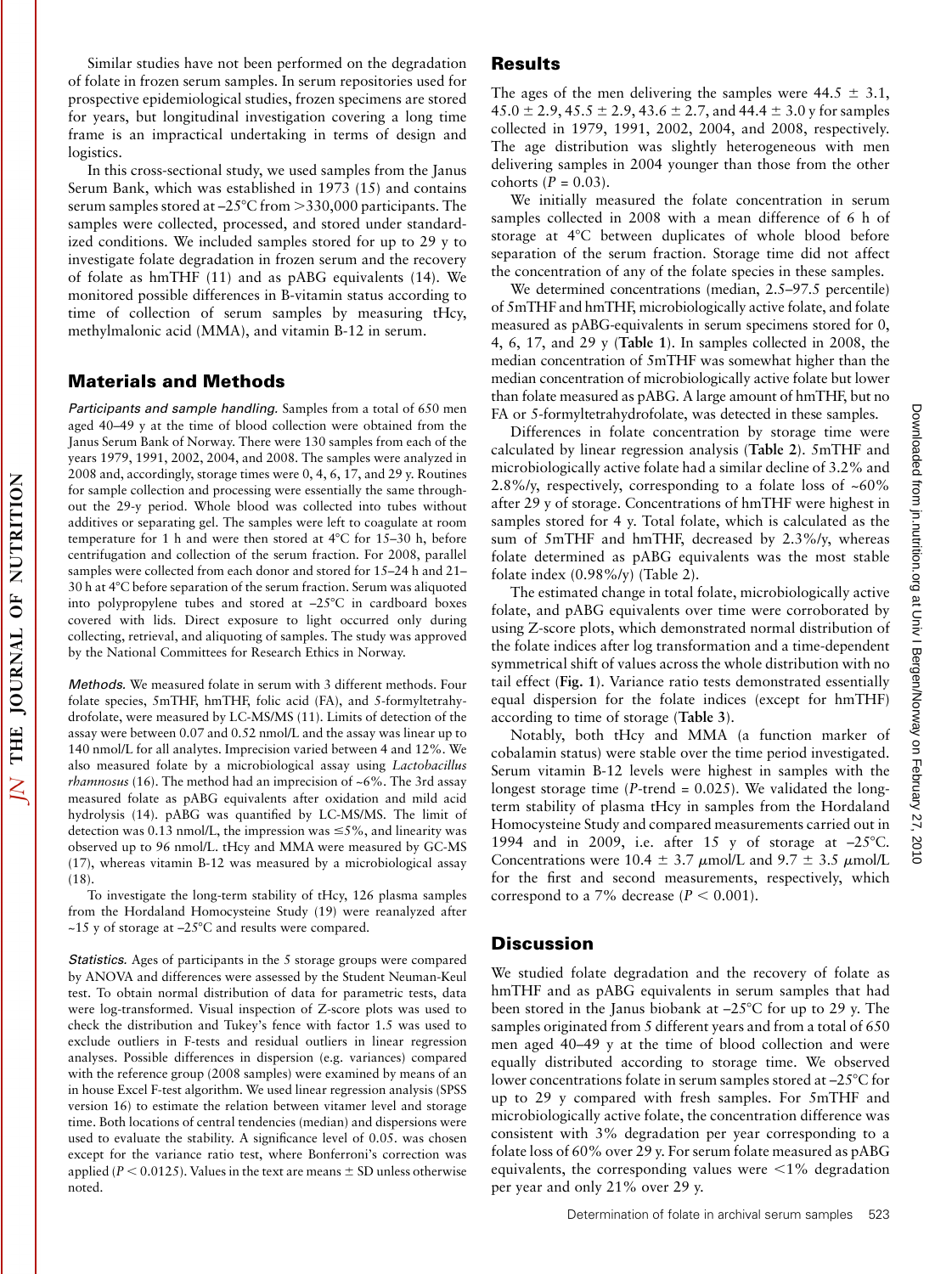Similar studies have not been performed on the degradation of folate in frozen serum samples. In serum repositories used for prospective epidemiological studies, frozen specimens are stored for years, but longitudinal investigation covering a long time frame is an impractical undertaking in terms of design and logistics.

In this cross-sectional study, we used samples from the Janus Serum Bank, which was established in 1973 (15) and contains serum samples stored at  $-25^{\circ}$ C from  $>330,000$  participants. The samples were collected, processed, and stored under standardized conditions. We included samples stored for up to 29 y to investigate folate degradation in frozen serum and the recovery of folate as hmTHF (11) and as pABG equivalents (14). We monitored possible differences in B-vitamin status according to time of collection of serum samples by measuring tHcy, methylmalonic acid (MMA), and vitamin B-12 in serum.

# Materials and Methods

Participants and sample handling. Samples from a total of 650 men aged 40–49 y at the time of blood collection were obtained from the Janus Serum Bank of Norway. There were 130 samples from each of the years 1979, 1991, 2002, 2004, and 2008. The samples were analyzed in 2008 and, accordingly, storage times were 0, 4, 6, 17, and 29 y. Routines for sample collection and processing were essentially the same throughout the 29-y period. Whole blood was collected into tubes without additives or separating gel. The samples were left to coagulate at room temperature for 1 h and were then stored at  $4^{\circ}$ C for 15-30 h, before centrifugation and collection of the serum fraction. For 2008, parallel samples were collected from each donor and stored for 15–24 h and 21– 30 h at 48C before separation of the serum fraction. Serum was aliquoted into polypropylene tubes and stored at  $-25^{\circ}$ C in cardboard boxes covered with lids. Direct exposure to light occurred only during collecting, retrieval, and aliquoting of samples. The study was approved by the National Committees for Research Ethics in Norway.

Methods. We measured folate in serum with 3 different methods. Four folate species, 5mTHF, hmTHF, folic acid (FA), and 5-formyltetrahydrofolate, were measured by LC-MS/MS (11). Limits of detection of the assay were between 0.07 and 0.52 nmol/L and the assay was linear up to 140 nmol/L for all analytes. Imprecision varied between 4 and 12%. We also measured folate by a microbiological assay using Lactobacillus *rhamnosus* (16). The method had an imprecision of  $~6\%$ . The 3rd assay measured folate as pABG equivalents after oxidation and mild acid hydrolysis (14). pABG was quantified by LC-MS/MS. The limit of detection was 0.13 nmol/L, the impression was  $\leq$ 5%, and linearity was observed up to 96 nmol/L. tHcy and MMA were measured by GC-MS (17), whereas vitamin B-12 was measured by a microbiological assay (18).

To investigate the long-term stability of tHcy, 126 plasma samples from the Hordaland Homocysteine Study (19) were reanalyzed after  $\sim$ 15 y of storage at  $-25^{\circ}$ C and results were compared.

Statistics. Ages of participants in the 5 storage groups were compared by ANOVA and differences were assessed by the Student Neuman-Keul test. To obtain normal distribution of data for parametric tests, data were log-transformed. Visual inspection of Z-score plots was used to check the distribution and Tukey's fence with factor 1.5 was used to exclude outliers in F-tests and residual outliers in linear regression analyses. Possible differences in dispersion (e.g. variances) compared with the reference group (2008 samples) were examined by means of an in house Excel F-test algorithm. We used linear regression analysis (SPSS version 16) to estimate the relation between vitamer level and storage time. Both locations of central tendencies (median) and dispersions were used to evaluate the stability. A significance level of 0.05. was chosen except for the variance ratio test, where Bonferroni's correction was applied ( $P < 0.0125$ ). Values in the text are means  $\pm$  SD unless otherwise noted.

## Results

The ages of the men delivering the samples were  $44.5 \pm 3.1$ ,  $45.0 \pm 2.9$ ,  $45.5 \pm 2.9$ ,  $43.6 \pm 2.7$ , and  $44.4 \pm 3.0$  y for samples collected in 1979, 1991, 2002, 2004, and 2008, respectively. The age distribution was slightly heterogeneous with men delivering samples in 2004 younger than those from the other cohorts  $(P = 0.03)$ .

We initially measured the folate concentration in serum samples collected in 2008 with a mean difference of 6 h of storage at 4°C between duplicates of whole blood before separation of the serum fraction. Storage time did not affect the concentration of any of the folate species in these samples.

We determined concentrations (median, 2.5–97.5 percentile) of 5mTHF and hmTHF, microbiologically active folate, and folate measured as pABG-equivalents in serum specimens stored for 0, 4, 6, 17, and 29 y (Table 1). In samples collected in 2008, the median concentration of 5mTHF was somewhat higher than the median concentration of microbiologically active folate but lower than folate measured as pABG. A large amount of hmTHF, but no FA or 5-formyltetrahydrofolate, was detected in these samples.

Differences in folate concentration by storage time were calculated by linear regression analysis (Table 2). 5mTHF and microbiologically active folate had a similar decline of 3.2% and 2.8%/y, respectively, corresponding to a folate loss of ~60% after 29 y of storage. Concentrations of hmTHF were highest in samples stored for 4 y. Total folate, which is calculated as the sum of 5mTHF and hmTHF, decreased by 2.3%/y, whereas folate determined as pABG equivalents was the most stable folate index (0.98%/y) (Table 2).

The estimated change in total folate, microbiologically active folate, and pABG equivalents over time were corroborated by using Z-score plots, which demonstrated normal distribution of the folate indices after log transformation and a time-dependent symmetrical shift of values across the whole distribution with no tail effect (Fig. 1). Variance ratio tests demonstrated essentially equal dispersion for the folate indices (except for hmTHF) according to time of storage (Table 3).

Notably, both tHcy and MMA (a function marker of cobalamin status) were stable over the time period investigated. Serum vitamin B-12 levels were highest in samples with the longest storage time ( $P$ -trend = 0.025). We validated the longterm stability of plasma tHcy in samples from the Hordaland Homocysteine Study and compared measurements carried out in 1994 and in 2009, i.e. after 15 y of storage at  $-25^{\circ}$ C. Concentrations were 10.4  $\pm$  3.7  $\mu$ mol/L and 9.7  $\pm$  3.5  $\mu$ mol/L for the first and second measurements, respectively, which correspond to a 7% decrease ( $P < 0.001$ ).

## **Discussion**

We studied folate degradation and the recovery of folate as hmTHF and as pABG equivalents in serum samples that had been stored in the Janus biobank at  $-25^{\circ}$ C for up to 29 y. The samples originated from 5 different years and from a total of 650 men aged 40–49 y at the time of blood collection and were equally distributed according to storage time. We observed lower concentrations folate in serum samples stored at -25°C for up to 29 y compared with fresh samples. For 5mTHF and microbiologically active folate, the concentration difference was consistent with 3% degradation per year corresponding to a folate loss of 60% over 29 y. For serum folate measured as pABG equivalents, the corresponding values were  $\leq 1\%$  degradation per year and only 21% over 29 y.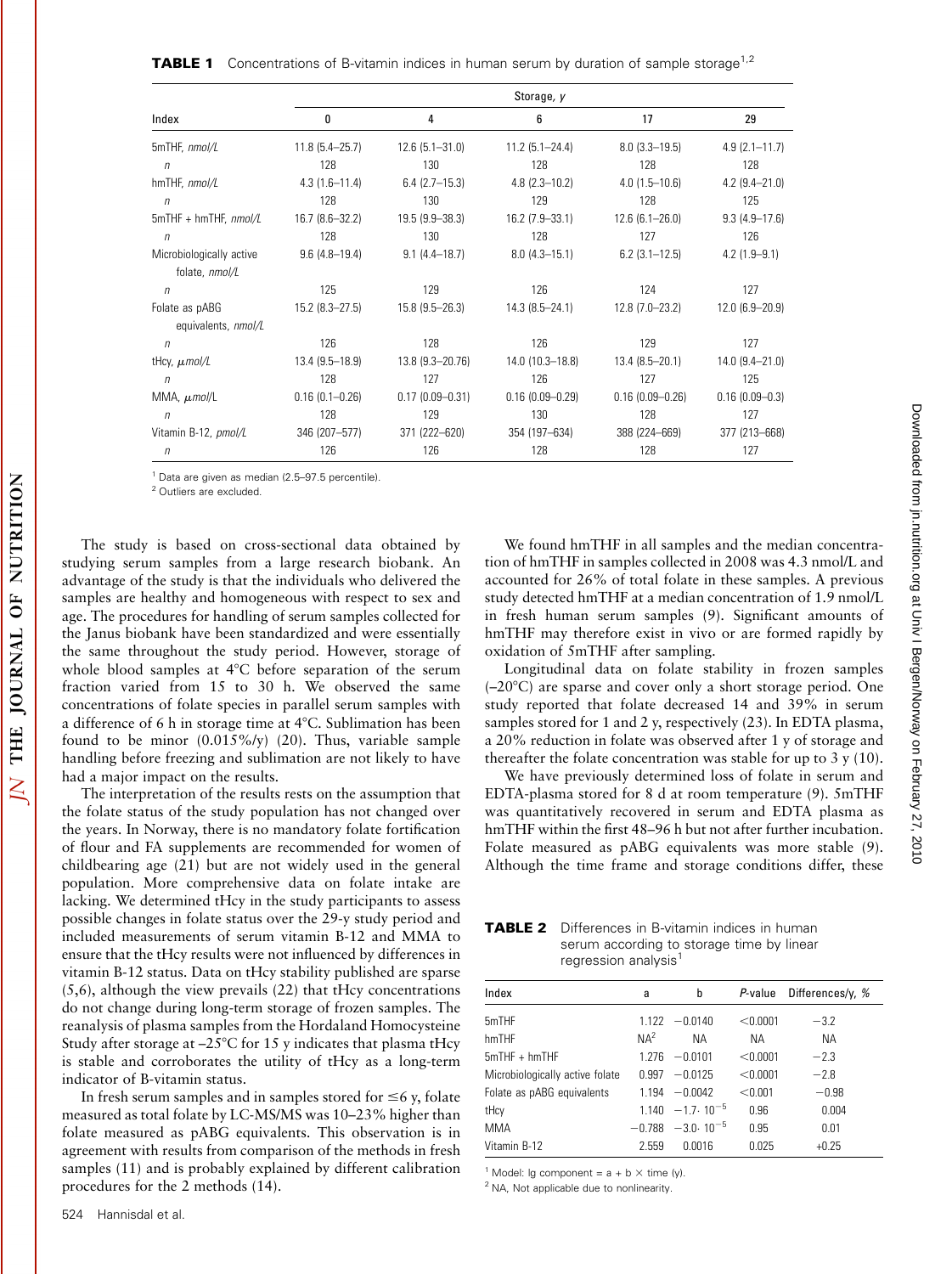| Index                    | Storage, y         |                     |                     |                     |                    |  |
|--------------------------|--------------------|---------------------|---------------------|---------------------|--------------------|--|
|                          | 0                  | 4                   | 6                   | 17                  | 29                 |  |
| 5mTHF, nmol/L            | $11.8$ (5.4-25.7)  | $12.6$ (5.1-31.0)   | $11.2$ (5.1-24.4)   | $8.0(3.3 - 19.5)$   | $4.9(2.1 - 11.7)$  |  |
| $\eta$                   | 128                | 130                 | 128                 | 128                 | 128                |  |
| hmTHF, nmol/L            | $4.3(1.6-11.4)$    | $6.4$ (2.7-15.3)    | $4.8(2.3 - 10.2)$   | $4.0(1.5-10.6)$     | $4.2$ (9.4-21.0)   |  |
| $\eta$                   | 128                | 130                 | 129                 | 128                 | 125                |  |
| $5mTHF + hmTHF, nmol/L$  | 16.7 (8.6-32.2)    | $19.5(9.9 - 38.3)$  | $16.2$ (7.9-33.1)   | $12.6(6.1 - 26.0)$  | $9.3(4.9 - 17.6)$  |  |
| $\eta$                   | 128                | 130                 | 128                 | 127                 | 126                |  |
| Microbiologically active | $9.6(4.8-19.4)$    | $9.1(4.4-18.7)$     | $8.0(4.3 - 15.1)$   | $6.2$ (3.1-12.5)    | $4.2(1.9 - 9.1)$   |  |
| folate, nmol/L           |                    |                     |                     |                     |                    |  |
| $\sqrt{n}$               | 125                | 129                 | 126                 | 124                 | 127                |  |
| Folate as pABG           | $15.2$ (8.3-27.5)  | $15.8(9.5 - 26.3)$  | $14.3(8.5 - 24.1)$  | $12.8$ (7.0-23.2)   | $12.0(6.9 - 20.9)$ |  |
| equivalents, nmol/L      |                    |                     |                     |                     |                    |  |
| $\sqrt{n}$               | 126                | 128                 | 126                 | 129                 | 127                |  |
| tHcy, $\mu$ mol/L        | $13.4(9.5 - 18.9)$ | 13.8 (9.3-20.76)    | 14.0 (10.3-18.8)    | $13.4(8.5 - 20.1)$  | 14.0 (9.4-21.0)    |  |
| $\sqrt{n}$               | 128                | 127                 | 126                 | 127                 | 125                |  |
| MMA, $\mu$ mol/L         | $0.16(0.1 - 0.26)$ | $0.17(0.09 - 0.31)$ | $0.16(0.09 - 0.29)$ | $0.16(0.09 - 0.26)$ | $0.16(0.09 - 0.3)$ |  |
| $\sqrt{n}$               | 128                | 129                 | 130                 | 128                 | 127                |  |
| Vitamin B-12, pmol/L     | 346 (207-577)      | 371 (222-620)       | 354 (197-634)       | 388 (224-669)       | 377 (213-668)      |  |
| $\sqrt{n}$               | 126                | 126                 | 128                 | 128                 | 127                |  |

<sup>1</sup> Data are given as median (2.5–97.5 percentile).

2 Outliers are excluded.

The study is based on cross-sectional data obtained by studying serum samples from a large research biobank. An advantage of the study is that the individuals who delivered the samples are healthy and homogeneous with respect to sex and age. The procedures for handling of serum samples collected for the Janus biobank have been standardized and were essentially the same throughout the study period. However, storage of whole blood samples at  $4^{\circ}$ C before separation of the serum fraction varied from 15 to 30 h. We observed the same concentrations of folate species in parallel serum samples with a difference of 6 h in storage time at  $4^{\circ}$ C. Sublimation has been found to be minor (0.015%/y) (20). Thus, variable sample handling before freezing and sublimation are not likely to have had a major impact on the results.

The interpretation of the results rests on the assumption that the folate status of the study population has not changed over the years. In Norway, there is no mandatory folate fortification of flour and FA supplements are recommended for women of childbearing age (21) but are not widely used in the general population. More comprehensive data on folate intake are lacking. We determined tHcy in the study participants to assess possible changes in folate status over the 29-y study period and included measurements of serum vitamin B-12 and MMA to ensure that the tHcy results were not influenced by differences in vitamin B-12 status. Data on tHcy stability published are sparse (5,6), although the view prevails (22) that tHcy concentrations do not change during long-term storage of frozen samples. The reanalysis of plasma samples from the Hordaland Homocysteine Study after storage at  $-25^{\circ}$ C for 15 y indicates that plasma tHcy is stable and corroborates the utility of tHcy as a long-term indicator of B-vitamin status.

In fresh serum samples and in samples stored for  $\leq 6$  y, folate measured as total folate by LC-MS/MS was 10–23% higher than folate measured as pABG equivalents. This observation is in agreement with results from comparison of the methods in fresh samples (11) and is probably explained by different calibration procedures for the 2 methods (14).

We found hmTHF in all samples and the median concentration of hmTHF in samples collected in 2008 was 4.3 nmol/L and accounted for 26% of total folate in these samples. A previous study detected hmTHF at a median concentration of 1.9 nmol/L in fresh human serum samples (9). Significant amounts of hmTHF may therefore exist in vivo or are formed rapidly by oxidation of 5mTHF after sampling.

Longitudinal data on folate stability in frozen samples  $(-20^{\circ}C)$  are sparse and cover only a short storage period. One study reported that folate decreased 14 and 39% in serum samples stored for 1 and 2 y, respectively (23). In EDTA plasma, a 20% reduction in folate was observed after 1 y of storage and thereafter the folate concentration was stable for up to 3 y (10).

We have previously determined loss of folate in serum and EDTA-plasma stored for 8 d at room temperature (9). 5mTHF was quantitatively recovered in serum and EDTA plasma as hmTHF within the first 48–96 h but not after further incubation. Folate measured as pABG equivalents was more stable (9). Although the time frame and storage conditions differ, these

**TABLE 2** Differences in B-vitamin indices in human serum according to storage time by linear regression analysis<sup>1</sup>

| Index                           | a               | b                           | P-value  | Differences/y, % |
|---------------------------------|-----------------|-----------------------------|----------|------------------|
| 5mTHF                           |                 | $1122 - 00140$              | < 0.0001 | $-3.2$           |
| hmTHF                           | NA <sup>2</sup> | <b>NA</b>                   | ΝA       | <b>NA</b>        |
| $5mTHF + hmTHF$                 |                 | $1.276 - 0.0101$            | < 0.0001 | $-2.3$           |
| Microbiologically active folate | 0.997           | $-0.0125$                   | < 0.0001 | $-2.8$           |
| Folate as pABG equivalents      |                 | $1.194 - 0.0042$            | < 0.001  | $-0.98$          |
| tHcy                            |                 | $1.140 - 1.7 \cdot 10^{-5}$ | 0.96     | 0.004            |
| <b>MMA</b>                      |                 | $-0.788 -3.0 \cdot 10^{-5}$ | 0.95     | 0.01             |
| Vitamin B-12                    | 2.559           | 0.0016                      | 0.025    | $+0.25$          |

<sup>1</sup> Model: lg component =  $a + b \times$  time (y). <sup>2</sup> NA, Not applicable due to nonlinearity.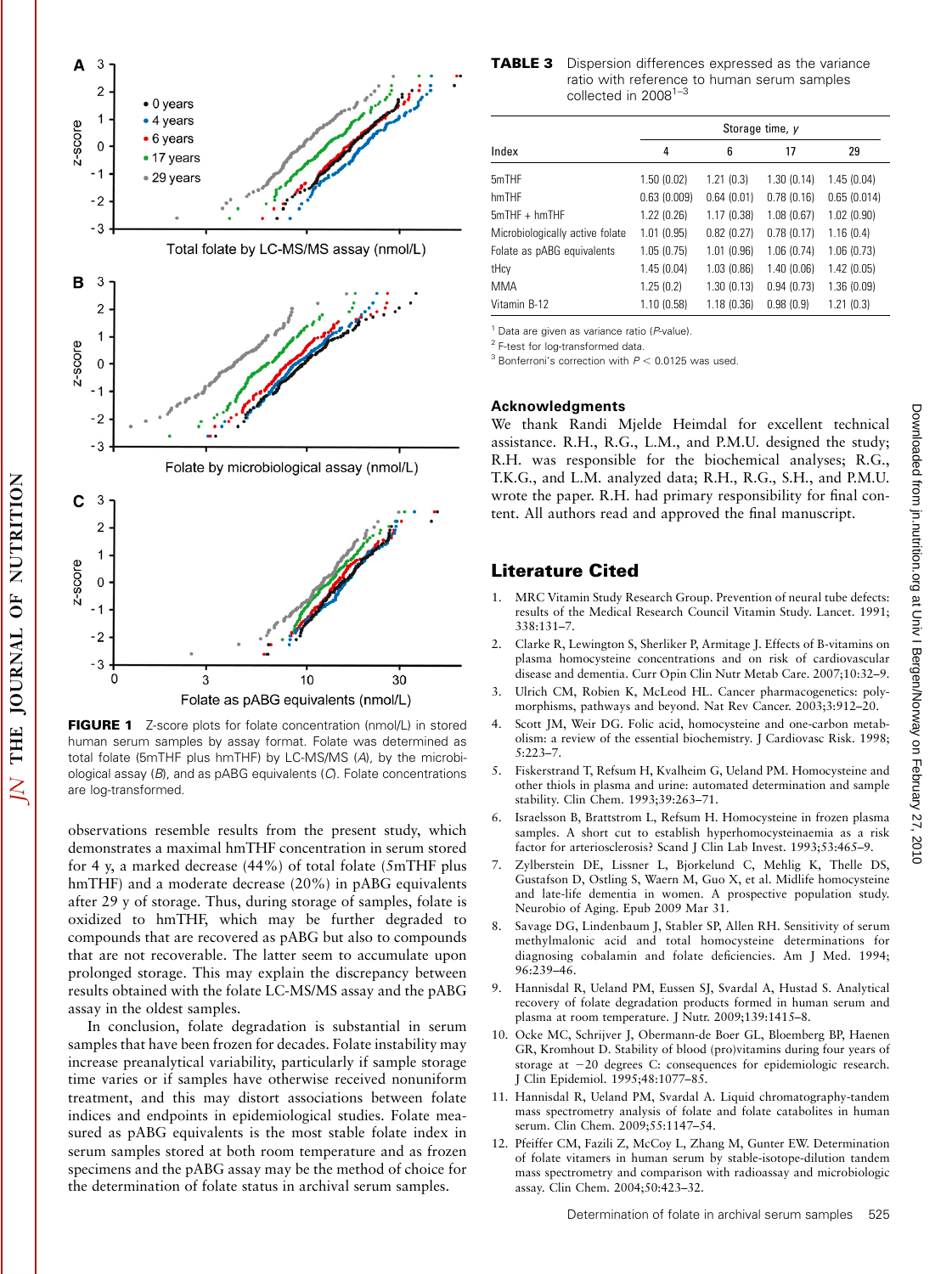

FIGURE 1 Z-score plots for folate concentration (nmol/L) in stored human serum samples by assay format. Folate was determined as total folate (5mTHF plus hmTHF) by LC-MS/MS (A), by the microbiological assay (B), and as pABG equivalents (C). Folate concentrations are log-transformed.

observations resemble results from the present study, which demonstrates a maximal hmTHF concentration in serum stored for 4 y, a marked decrease (44%) of total folate (5mTHF plus hmTHF) and a moderate decrease (20%) in pABG equivalents after 29 y of storage. Thus, during storage of samples, folate is oxidized to hmTHF, which may be further degraded to compounds that are recovered as pABG but also to compounds that are not recoverable. The latter seem to accumulate upon prolonged storage. This may explain the discrepancy between results obtained with the folate LC-MS/MS assay and the pABG assay in the oldest samples.

In conclusion, folate degradation is substantial in serum samples that have been frozen for decades. Folate instability may increase preanalytical variability, particularly if sample storage time varies or if samples have otherwise received nonuniform treatment, and this may distort associations between folate indices and endpoints in epidemiological studies. Folate measured as pABG equivalents is the most stable folate index in serum samples stored at both room temperature and as frozen specimens and the pABG assay may be the method of choice for the determination of folate status in archival serum samples.

**TABLE 3** Dispersion differences expressed as the variance ratio with reference to human serum samples collected in  $2008^{1-\frac{c}{3}}$ 

|                                 | Storage time, y |            |            |             |  |
|---------------------------------|-----------------|------------|------------|-------------|--|
| Index                           | 4               | 6          | 17         | 29          |  |
| 5mTHF                           | 1.50(0.02)      | 1.21(0.3)  | 1.30(0.14) | 1.45(0.04)  |  |
| hmTHF                           | 0.63(0.009)     | 0.64(0.01) | 0.78(0.16) | 0.65(0.014) |  |
| $5mTHF + hmTHF$                 | 1.22(0.26)      | 1.17(0.38) | 1.08(0.67) | 1.02(0.90)  |  |
| Microbiologically active folate | 1.01(0.95)      | 0.82(0.27) | 0.78(0.17) | 1.16(0.4)   |  |
| Folate as pABG equivalents      | 1.05(0.75)      | 1.01(0.96) | 1.06(0.74) | 1.06(0.73)  |  |
| tHcy                            | 1.45(0.04)      | 1.03(0.86) | 1.40(0.06) | 1.42(0.05)  |  |
| <b>MMA</b>                      | 1.25(0.2)       | 1.30(0.13) | 0.94(0.73) | 1.36(0.09)  |  |
| Vitamin B-12                    | 1.10(0.58)      | 1.18(0.36) | 0.98(0.9)  | 1.21(0.3)   |  |

 $1$  Data are given as variance ratio ( $P$ -value).

2 F-test for log-transformed data.

 $3$  Bonferroni's correction with  $P < 0.0125$  was used.

#### Acknowledgments

We thank Randi Mjelde Heimdal for excellent technical assistance. R.H., R.G., L.M., and P.M.U. designed the study; R.H. was responsible for the biochemical analyses; R.G., T.K.G., and L.M. analyzed data; R.H., R.G., S.H., and P.M.U. wrote the paper. R.H. had primary responsibility for final content. All authors read and approved the final manuscript.

### Literature Cited

- 1. MRC Vitamin Study Research Group. Prevention of neural tube defects: results of the Medical Research Council Vitamin Study. Lancet. 1991; 338:131–7.
- 2. Clarke R, Lewington S, Sherliker P, Armitage J. Effects of B-vitamins on plasma homocysteine concentrations and on risk of cardiovascular disease and dementia. Curr Opin Clin Nutr Metab Care. 2007;10:32–9.
- Ulrich CM, Robien K, McLeod HL. Cancer pharmacogenetics: polymorphisms, pathways and beyond. Nat Rev Cancer. 2003;3:912–20.
- Scott JM, Weir DG. Folic acid, homocysteine and one-carbon metabolism: a review of the essential biochemistry. J Cardiovasc Risk. 1998; 5:223–7.
- 5. Fiskerstrand T, Refsum H, Kvalheim G, Ueland PM. Homocysteine and other thiols in plasma and urine: automated determination and sample stability. Clin Chem. 1993;39:263–71.
- 6. Israelsson B, Brattstrom L, Refsum H. Homocysteine in frozen plasma samples. A short cut to establish hyperhomocysteinaemia as a risk factor for arteriosclerosis? Scand J Clin Lab Invest. 1993;53:465–9.
- 7. Zylberstein DE, Lissner L, Bjorkelund C, Mehlig K, Thelle DS, Gustafson D, Ostling S, Waern M, Guo X, et al. Midlife homocysteine and late-life dementia in women. A prospective population study. Neurobio of Aging. Epub 2009 Mar 31.
- 8. Savage DG, Lindenbaum J, Stabler SP, Allen RH. Sensitivity of serum methylmalonic acid and total homocysteine determinations for diagnosing cobalamin and folate deficiencies. Am J Med. 1994; 96:239–46.
- 9. Hannisdal R, Ueland PM, Eussen SJ, Svardal A, Hustad S. Analytical recovery of folate degradation products formed in human serum and plasma at room temperature. J Nutr. 2009;139:1415–8.
- 10. Ocke MC, Schrijver J, Obermann-de Boer GL, Bloemberg BP, Haenen GR, Kromhout D. Stability of blood (pro)vitamins during four years of storage at -20 degrees C: consequences for epidemiologic research. J Clin Epidemiol. 1995;48:1077–85.
- 11. Hannisdal R, Ueland PM, Svardal A. Liquid chromatography-tandem mass spectrometry analysis of folate and folate catabolites in human serum. Clin Chem. 2009;55:1147–54.
- 12. Pfeiffer CM, Fazili Z, McCoy L, Zhang M, Gunter EW. Determination of folate vitamers in human serum by stable-isotope-dilution tandem mass spectrometry and comparison with radioassay and microbiologic assay. Clin Chem. 2004;50:423–32.